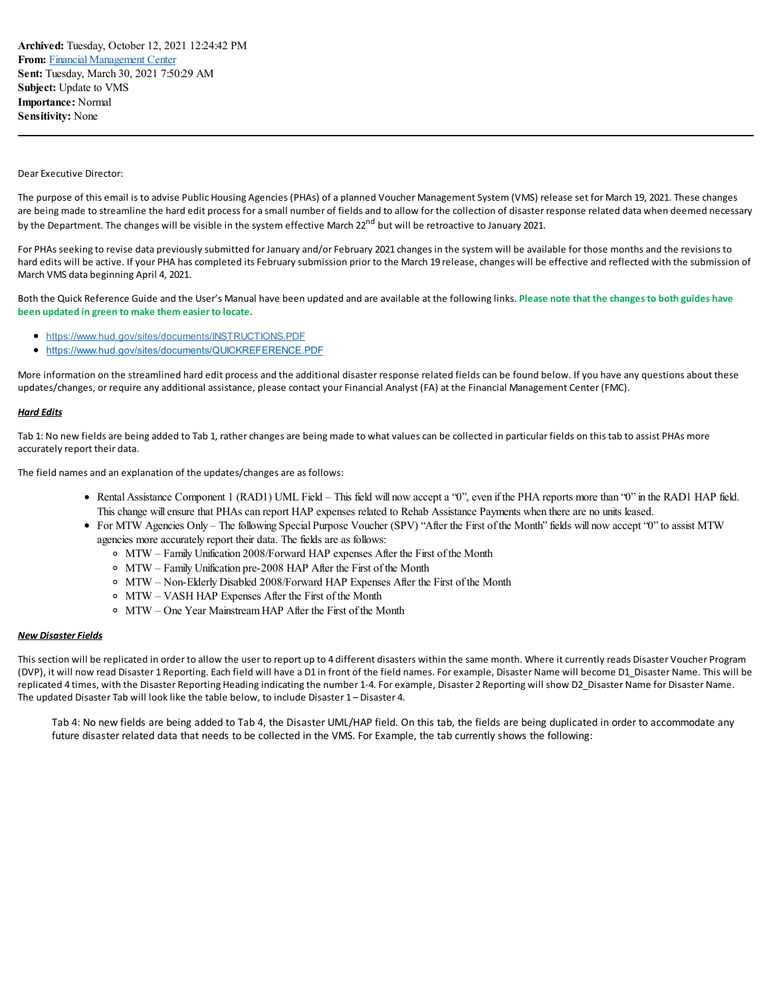## Dear Executive Director:

The purpose of this email is to advise Public Housing Agencies (PHAs) of a planned Voucher Management System (VMS) release set for March 19, 2021. These changes are being made to streamline the hard edit process for a small number of fields and to allow for the collection of disaster response related data when deemed necessary by the Department. The changes will be visible in the system effective March 22<sup>nd</sup> but will be retroactive to January 2021.

For PHAs seeking to revise data previously submitted for January and/or February 2021 changes in the system will be available for those months and the revisions to hard edits will be active. If your PHA has completed its February submission prior to the March 19 release, changes will be effective and reflected with the submission of March VMS data beginning April 4, 2021.

Both the Quick Reference Guide and the User's Manual have been updated and are available at the following links. **Please note that the changes to both guides have been updated in green to make them easier to locate.**

- <https://www.hud.gov/sites/documents/INSTRUCTIONS.PDF>
- <https://www.hud.gov/sites/documents/QUICKREFERENCE.PDF>

More information on the streamlined hard edit process and the additional disaster response related fields can be found below. If you have any questions about these updates/changes, or require any additional assistance, please contact your Financial Analyst (FA) at the Financial Management Center (FMC).

## *Hard Edits*

Tab 1: No new fields are being added to Tab 1, rather changes are being made to what values can be collected in particular fields on this tab to assist PHAs more accurately report their data.

The field names and an explanation of the updates/changes are as follows:

- Rental Assistance Component 1 (RAD1) UML Field This field will now accept a "0", even if the PHA reports more than "0" in the RAD1 HAP field. This change will ensure that PHAs can report HAP expenses related to Rehab Assistance Payments when there are no units leased.
- For MTW Agencies Only The following Special Purpose Voucher (SPV) "After the First of the Month" fields will now accept "0" to assist MTW agencies more accurately report their data. The fields are as follows:
	- MTW Family Unification 2008/Forward HAP expenses After the First of the Month
	- MTW Family Unification pre-2008 HAP After the First of the Month
	- MTW Non-Elderly Disabled 2008/Forward HAP Expenses After the First of the Month
	- MTW VASH HAP Expenses After the First of the Month
	- MTW One Year Mainstream HAP After the First of the Month

## *New Disaster Fields*

This section will be replicated in order to allow the user to report up to 4 different disasters within the same month. Where it currently reads Disaster Voucher Program (DVP), it will now read Disaster 1 Reporting. Each field will have a D1 in front of the field names. For example, Disaster Name will become D1\_Disaster Name. This will be replicated 4 times, with the Disaster Reporting Heading indicating the number 1-4. For example, Disaster 2 Reporting will show D2\_Disaster Name for Disaster Name. The updated Disaster Tab will look like the table below, to include Disaster 1 – Disaster 4.

Tab 4: No new fields are being added to Tab 4, the Disaster UML/HAP field. On this tab, the fields are being duplicated in order to accommodate any future disaster related data that needs to be collected in the VMS. For Example, the tab currently shows the following: